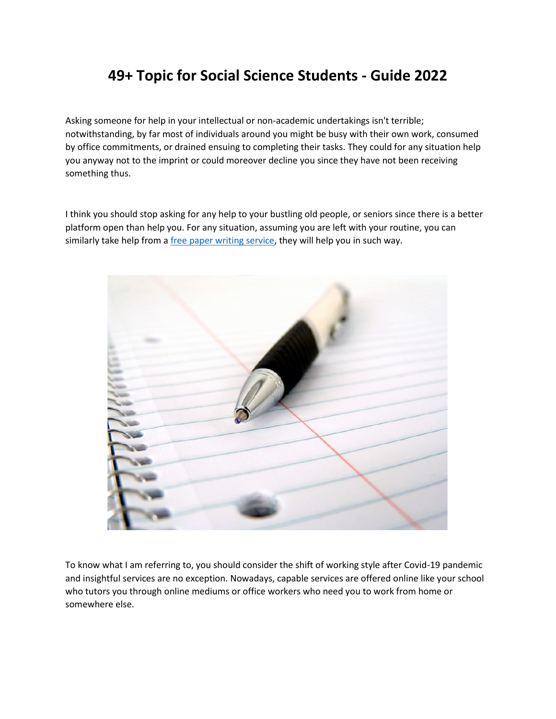## **49+ Topic for Social Science Students - Guide 2022**

Asking someone for help in your intellectual or non-academic undertakings isn't terrible; notwithstanding, by far most of individuals around you might be busy with their own work, consumed by office commitments, or drained ensuing to completing their tasks. They could for any situation help you anyway not to the imprint or could moreover decline you since they have not been receiving something thus.

I think you should stop asking for any help to your bustling old people, or seniors since there is a better platform open than help you. For any situation, assuming you are left with your routine, you can similarly take help from a [free paper writing service,](https://www.sharkpapers.com/) they will help you in such way.



To know what I am referring to, you should consider the shift of working style after Covid-19 pandemic and insightful services are no exception. Nowadays, capable services are offered online like your school who tutors you through online mediums or office workers who need you to work from home or somewhere else.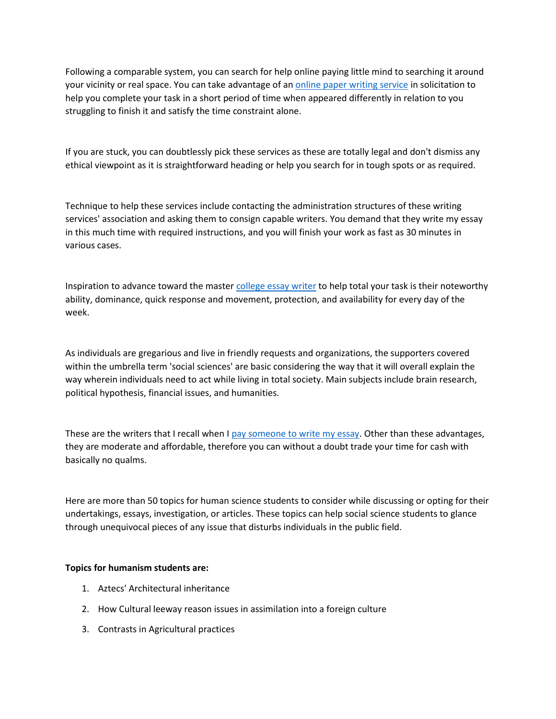Following a comparable system, you can search for help online paying little mind to searching it around your vicinity or real space. You can take advantage of an [online paper writing service](https://www.sharkpapers.com/) in solicitation to help you complete your task in a short period of time when appeared differently in relation to you struggling to finish it and satisfy the time constraint alone.

If you are stuck, you can doubtlessly pick these services as these are totally legal and don't dismiss any ethical viewpoint as it is straightforward heading or help you search for in tough spots or as required.

Technique to help these services include contacting the administration structures of these writing services' association and asking them to consign capable writers. You demand that they write my essay in this much time with required instructions, and you will finish your work as fast as 30 minutes in various cases.

Inspiration to advance toward the master [college essay writer](https://essayhours.com/) to help total your task is their noteworthy ability, dominance, quick response and movement, protection, and availability for every day of the week.

As individuals are gregarious and live in friendly requests and organizations, the supporters covered within the umbrella term 'social sciences' are basic considering the way that it will overall explain the way wherein individuals need to act while living in total society. Main subjects include brain research, political hypothesis, financial issues, and humanities.

These are the writers that I recall when I [pay someone to write my essay.](https://essayhours.com/) Other than these advantages, they are moderate and affordable, therefore you can without a doubt trade your time for cash with basically no qualms.

Here are more than 50 topics for human science students to consider while discussing or opting for their undertakings, essays, investigation, or articles. These topics can help social science students to glance through unequivocal pieces of any issue that disturbs individuals in the public field.

## **Topics for humanism students are:**

- 1. Aztecs' Architectural inheritance
- 2. How Cultural leeway reason issues in assimilation into a foreign culture
- 3. Contrasts in Agricultural practices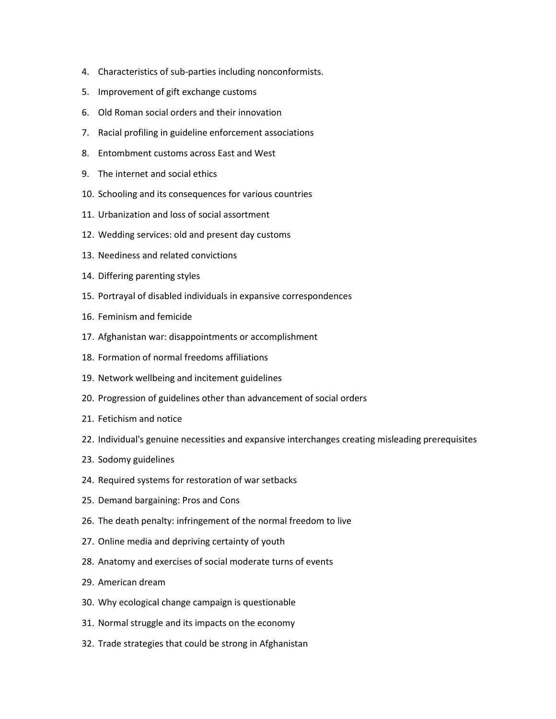- 4. Characteristics of sub-parties including nonconformists.
- 5. Improvement of gift exchange customs
- 6. Old Roman social orders and their innovation
- 7. Racial profiling in guideline enforcement associations
- 8. Entombment customs across East and West
- 9. The internet and social ethics
- 10. Schooling and its consequences for various countries
- 11. Urbanization and loss of social assortment
- 12. Wedding services: old and present day customs
- 13. Neediness and related convictions
- 14. Differing parenting styles
- 15. Portrayal of disabled individuals in expansive correspondences
- 16. Feminism and femicide
- 17. Afghanistan war: disappointments or accomplishment
- 18. Formation of normal freedoms affiliations
- 19. Network wellbeing and incitement guidelines
- 20. Progression of guidelines other than advancement of social orders
- 21. Fetichism and notice
- 22. Individual's genuine necessities and expansive interchanges creating misleading prerequisites
- 23. Sodomy guidelines
- 24. Required systems for restoration of war setbacks
- 25. Demand bargaining: Pros and Cons
- 26. The death penalty: infringement of the normal freedom to live
- 27. Online media and depriving certainty of youth
- 28. Anatomy and exercises of social moderate turns of events
- 29. American dream
- 30. Why ecological change campaign is questionable
- 31. Normal struggle and its impacts on the economy
- 32. Trade strategies that could be strong in Afghanistan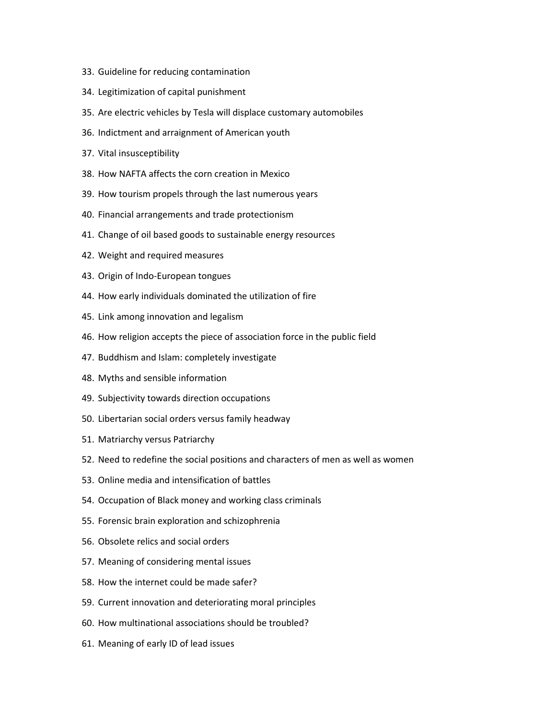- 33. Guideline for reducing contamination
- 34. Legitimization of capital punishment
- 35. Are electric vehicles by Tesla will displace customary automobiles
- 36. Indictment and arraignment of American youth
- 37. Vital insusceptibility
- 38. How NAFTA affects the corn creation in Mexico
- 39. How tourism propels through the last numerous years
- 40. Financial arrangements and trade protectionism
- 41. Change of oil based goods to sustainable energy resources
- 42. Weight and required measures
- 43. Origin of Indo-European tongues
- 44. How early individuals dominated the utilization of fire
- 45. Link among innovation and legalism
- 46. How religion accepts the piece of association force in the public field
- 47. Buddhism and Islam: completely investigate
- 48. Myths and sensible information
- 49. Subjectivity towards direction occupations
- 50. Libertarian social orders versus family headway
- 51. Matriarchy versus Patriarchy
- 52. Need to redefine the social positions and characters of men as well as women
- 53. Online media and intensification of battles
- 54. Occupation of Black money and working class criminals
- 55. Forensic brain exploration and schizophrenia
- 56. Obsolete relics and social orders
- 57. Meaning of considering mental issues
- 58. How the internet could be made safer?
- 59. Current innovation and deteriorating moral principles
- 60. How multinational associations should be troubled?
- 61. Meaning of early ID of lead issues